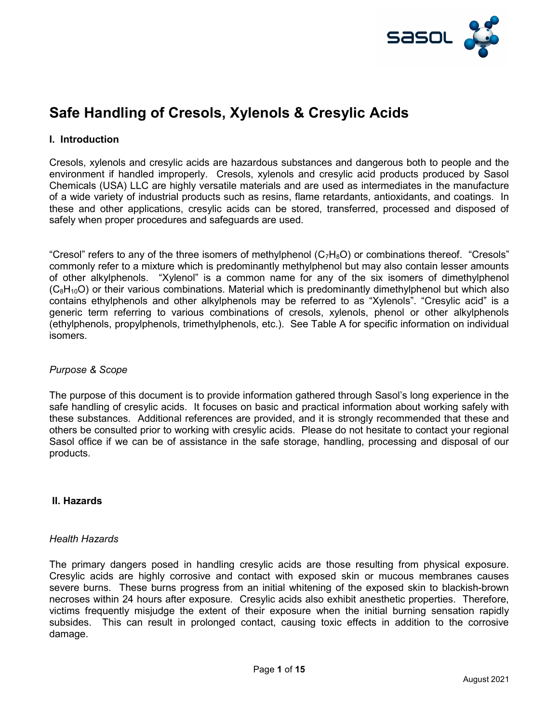

# Safe Handling of Cresols, Xylenols & Cresylic Acids

#### I. Introduction

Cresols, xylenols and cresylic acids are hazardous substances and dangerous both to people and the environment if handled improperly. Cresols, xylenols and cresylic acid products produced by Sasol Chemicals (USA) LLC are highly versatile materials and are used as intermediates in the manufacture of a wide variety of industrial products such as resins, flame retardants, antioxidants, and coatings. In these and other applications, cresylic acids can be stored, transferred, processed and disposed of safely when proper procedures and safeguards are used.

"Cresol" refers to any of the three isomers of methylphenol  $(C_7H_8O)$  or combinations thereof. "Cresols" commonly refer to a mixture which is predominantly methylphenol but may also contain lesser amounts of other alkylphenols. "Xylenol" is a common name for any of the six isomers of dimethylphenol  $(C_8H_{10}O)$  or their various combinations. Material which is predominantly dimethylphenol but which also contains ethylphenols and other alkylphenols may be referred to as "Xylenols". "Cresylic acid" is a generic term referring to various combinations of cresols, xylenols, phenol or other alkylphenols (ethylphenols, propylphenols, trimethylphenols, etc.). See Table A for specific information on individual isomers.

#### Purpose & Scope

The purpose of this document is to provide information gathered through Sasol's long experience in the safe handling of cresylic acids. It focuses on basic and practical information about working safely with these substances. Additional references are provided, and it is strongly recommended that these and others be consulted prior to working with cresylic acids. Please do not hesitate to contact your regional Sasol office if we can be of assistance in the safe storage, handling, processing and disposal of our products.

#### II. Hazards

#### Health Hazards

The primary dangers posed in handling cresylic acids are those resulting from physical exposure. Cresylic acids are highly corrosive and contact with exposed skin or mucous membranes causes severe burns. These burns progress from an initial whitening of the exposed skin to blackish-brown necroses within 24 hours after exposure. Cresylic acids also exhibit anesthetic properties. Therefore, victims frequently misjudge the extent of their exposure when the initial burning sensation rapidly subsides. This can result in prolonged contact, causing toxic effects in addition to the corrosive damage.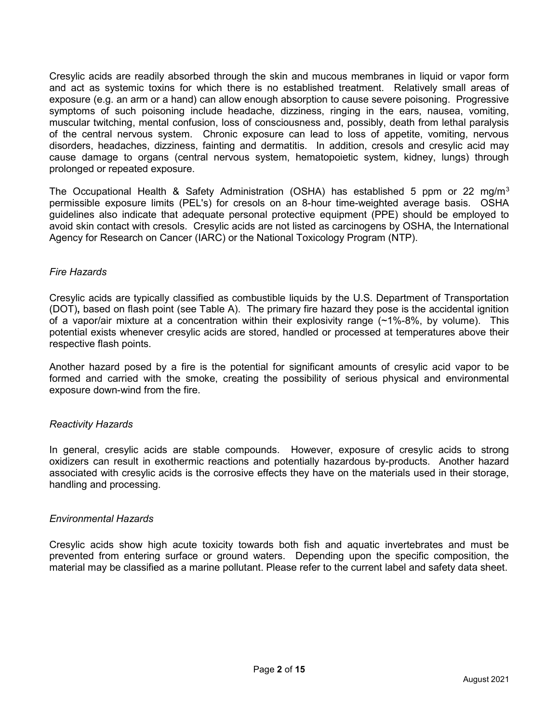Cresylic acids are readily absorbed through the skin and mucous membranes in liquid or vapor form and act as systemic toxins for which there is no established treatment. Relatively small areas of exposure (e.g. an arm or a hand) can allow enough absorption to cause severe poisoning. Progressive symptoms of such poisoning include headache, dizziness, ringing in the ears, nausea, vomiting, muscular twitching, mental confusion, loss of consciousness and, possibly, death from lethal paralysis of the central nervous system. Chronic exposure can lead to loss of appetite, vomiting, nervous disorders, headaches, dizziness, fainting and dermatitis. In addition, cresols and cresylic acid may cause damage to organs (central nervous system, hematopoietic system, kidney, lungs) through prolonged or repeated exposure.

The Occupational Health & Safety Administration (OSHA) has established 5 ppm or 22 mg/m<sup>3</sup> permissible exposure limits (PEL's) for cresols on an 8-hour time-weighted average basis. OSHA guidelines also indicate that adequate personal protective equipment (PPE) should be employed to avoid skin contact with cresols. Cresylic acids are not listed as carcinogens by OSHA, the International Agency for Research on Cancer (IARC) or the National Toxicology Program (NTP).

#### Fire Hazards

Cresylic acids are typically classified as combustible liquids by the U.S. Department of Transportation (DOT), based on flash point (see Table A). The primary fire hazard they pose is the accidental ignition of a vapor/air mixture at a concentration within their explosivity range (~1%-8%, by volume). This potential exists whenever cresylic acids are stored, handled or processed at temperatures above their respective flash points.

Another hazard posed by a fire is the potential for significant amounts of cresylic acid vapor to be formed and carried with the smoke, creating the possibility of serious physical and environmental exposure down-wind from the fire.

#### Reactivity Hazards

In general, cresylic acids are stable compounds. However, exposure of cresylic acids to strong oxidizers can result in exothermic reactions and potentially hazardous by-products. Another hazard associated with cresylic acids is the corrosive effects they have on the materials used in their storage, handling and processing.

#### Environmental Hazards

Cresylic acids show high acute toxicity towards both fish and aquatic invertebrates and must be prevented from entering surface or ground waters. Depending upon the specific composition, the material may be classified as a marine pollutant. Please refer to the current label and safety data sheet.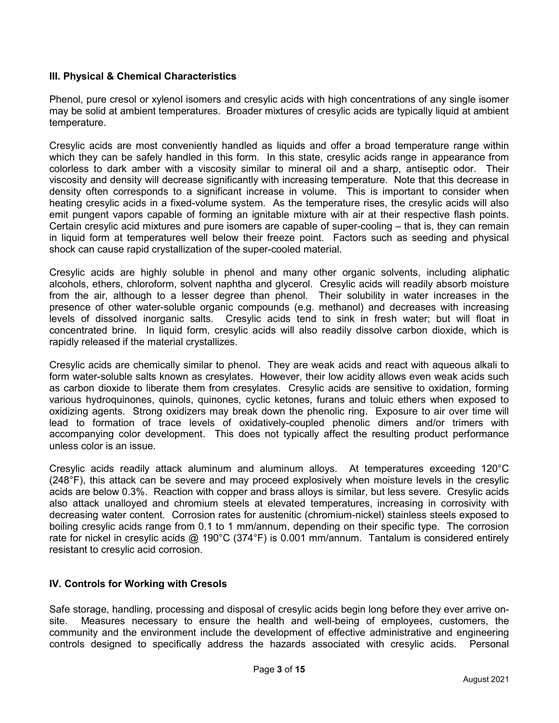#### III. Physical & Chemical Characteristics

Phenol, pure cresol or xylenol isomers and cresylic acids with high concentrations of any single isomer may be solid at ambient temperatures. Broader mixtures of cresylic acids are typically liquid at ambient temperature.

Cresylic acids are most conveniently handled as liquids and offer a broad temperature range within which they can be safely handled in this form. In this state, cresylic acids range in appearance from colorless to dark amber with a viscosity similar to mineral oil and a sharp, antiseptic odor. Their viscosity and density will decrease significantly with increasing temperature. Note that this decrease in density often corresponds to a significant increase in volume. This is important to consider when heating cresylic acids in a fixed-volume system. As the temperature rises, the cresylic acids will also emit pungent vapors capable of forming an ignitable mixture with air at their respective flash points. Certain cresylic acid mixtures and pure isomers are capable of super-cooling – that is, they can remain in liquid form at temperatures well below their freeze point. Factors such as seeding and physical shock can cause rapid crystallization of the super-cooled material.

Cresylic acids are highly soluble in phenol and many other organic solvents, including aliphatic alcohols, ethers, chloroform, solvent naphtha and glycerol. Cresylic acids will readily absorb moisture from the air, although to a lesser degree than phenol. Their solubility in water increases in the presence of other water-soluble organic compounds (e.g. methanol) and decreases with increasing levels of dissolved inorganic salts. Cresylic acids tend to sink in fresh water; but will float in concentrated brine. In liquid form, cresylic acids will also readily dissolve carbon dioxide, which is rapidly released if the material crystallizes.

Cresylic acids are chemically similar to phenol. They are weak acids and react with aqueous alkali to form water-soluble salts known as cresylates. However, their low acidity allows even weak acids such as carbon dioxide to liberate them from cresylates. Cresylic acids are sensitive to oxidation, forming various hydroquinones, quinols, quinones, cyclic ketones, furans and toluic ethers when exposed to oxidizing agents. Strong oxidizers may break down the phenolic ring. Exposure to air over time will lead to formation of trace levels of oxidatively-coupled phenolic dimers and/or trimers with accompanying color development. This does not typically affect the resulting product performance unless color is an issue.

Cresylic acids readily attack aluminum and aluminum alloys. At temperatures exceeding 120°C (248°F), this attack can be severe and may proceed explosively when moisture levels in the cresylic acids are below 0.3%. Reaction with copper and brass alloys is similar, but less severe. Cresylic acids also attack unalloyed and chromium steels at elevated temperatures, increasing in corrosivity with decreasing water content. Corrosion rates for austenitic (chromium-nickel) stainless steels exposed to boiling cresylic acids range from 0.1 to 1 mm/annum, depending on their specific type. The corrosion rate for nickel in cresylic acids @ 190°C (374°F) is 0.001 mm/annum. Tantalum is considered entirely resistant to cresylic acid corrosion.

#### IV. Controls for Working with Cresols

Safe storage, handling, processing and disposal of cresylic acids begin long before they ever arrive onsite. Measures necessary to ensure the health and well-being of employees, customers, the community and the environment include the development of effective administrative and engineering controls designed to specifically address the hazards associated with cresylic acids. Personal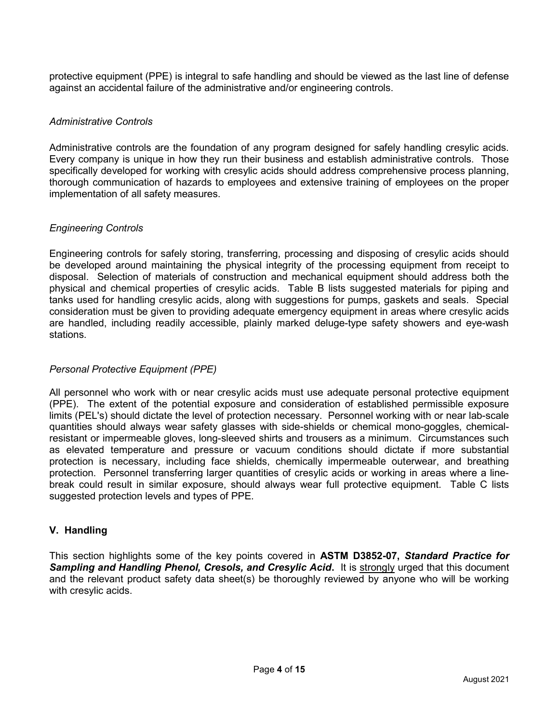protective equipment (PPE) is integral to safe handling and should be viewed as the last line of defense against an accidental failure of the administrative and/or engineering controls.

#### Administrative Controls

Administrative controls are the foundation of any program designed for safely handling cresylic acids. Every company is unique in how they run their business and establish administrative controls. Those specifically developed for working with cresylic acids should address comprehensive process planning, thorough communication of hazards to employees and extensive training of employees on the proper implementation of all safety measures.

#### Engineering Controls

Engineering controls for safely storing, transferring, processing and disposing of cresylic acids should be developed around maintaining the physical integrity of the processing equipment from receipt to disposal. Selection of materials of construction and mechanical equipment should address both the physical and chemical properties of cresylic acids. Table B lists suggested materials for piping and tanks used for handling cresylic acids, along with suggestions for pumps, gaskets and seals. Special consideration must be given to providing adequate emergency equipment in areas where cresylic acids are handled, including readily accessible, plainly marked deluge-type safety showers and eye-wash stations.

#### Personal Protective Equipment (PPE)

All personnel who work with or near cresylic acids must use adequate personal protective equipment (PPE). The extent of the potential exposure and consideration of established permissible exposure limits (PEL's) should dictate the level of protection necessary. Personnel working with or near lab-scale quantities should always wear safety glasses with side-shields or chemical mono-goggles, chemicalresistant or impermeable gloves, long-sleeved shirts and trousers as a minimum. Circumstances such as elevated temperature and pressure or vacuum conditions should dictate if more substantial protection is necessary, including face shields, chemically impermeable outerwear, and breathing protection. Personnel transferring larger quantities of cresylic acids or working in areas where a linebreak could result in similar exposure, should always wear full protective equipment. Table C lists suggested protection levels and types of PPE.

#### V. Handling

This section highlights some of the key points covered in ASTM D3852-07, Standard Practice for Sampling and Handling Phenol, Cresols, and Cresylic Acid. It is strongly urged that this document and the relevant product safety data sheet(s) be thoroughly reviewed by anyone who will be working with cresylic acids.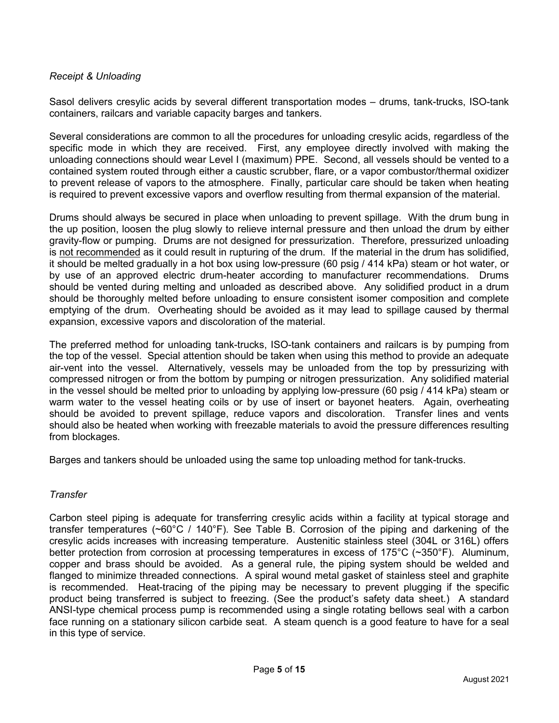#### Receipt & Unloading

Sasol delivers cresylic acids by several different transportation modes – drums, tank-trucks, ISO-tank containers, railcars and variable capacity barges and tankers.

Several considerations are common to all the procedures for unloading cresylic acids, regardless of the specific mode in which they are received. First, any employee directly involved with making the unloading connections should wear Level I (maximum) PPE. Second, all vessels should be vented to a contained system routed through either a caustic scrubber, flare, or a vapor combustor/thermal oxidizer to prevent release of vapors to the atmosphere. Finally, particular care should be taken when heating is required to prevent excessive vapors and overflow resulting from thermal expansion of the material.

Drums should always be secured in place when unloading to prevent spillage. With the drum bung in the up position, loosen the plug slowly to relieve internal pressure and then unload the drum by either gravity-flow or pumping. Drums are not designed for pressurization. Therefore, pressurized unloading is not recommended as it could result in rupturing of the drum. If the material in the drum has solidified, it should be melted gradually in a hot box using low-pressure (60 psig / 414 kPa) steam or hot water, or by use of an approved electric drum-heater according to manufacturer recommendations. Drums should be vented during melting and unloaded as described above. Any solidified product in a drum should be thoroughly melted before unloading to ensure consistent isomer composition and complete emptying of the drum. Overheating should be avoided as it may lead to spillage caused by thermal expansion, excessive vapors and discoloration of the material.

The preferred method for unloading tank-trucks, ISO-tank containers and railcars is by pumping from the top of the vessel. Special attention should be taken when using this method to provide an adequate air-vent into the vessel. Alternatively, vessels may be unloaded from the top by pressurizing with compressed nitrogen or from the bottom by pumping or nitrogen pressurization. Any solidified material in the vessel should be melted prior to unloading by applying low-pressure (60 psig / 414 kPa) steam or warm water to the vessel heating coils or by use of insert or bayonet heaters. Again, overheating should be avoided to prevent spillage, reduce vapors and discoloration. Transfer lines and vents should also be heated when working with freezable materials to avoid the pressure differences resulting from blockages.

Barges and tankers should be unloaded using the same top unloading method for tank-trucks.

#### **Transfer**

Carbon steel piping is adequate for transferring cresylic acids within a facility at typical storage and transfer temperatures (~60°C / 140°F). See Table B. Corrosion of the piping and darkening of the cresylic acids increases with increasing temperature. Austenitic stainless steel (304L or 316L) offers better protection from corrosion at processing temperatures in excess of 175°C (~350°F). Aluminum, copper and brass should be avoided. As a general rule, the piping system should be welded and flanged to minimize threaded connections. A spiral wound metal gasket of stainless steel and graphite is recommended. Heat-tracing of the piping may be necessary to prevent plugging if the specific product being transferred is subject to freezing. (See the product's safety data sheet.) A standard ANSI-type chemical process pump is recommended using a single rotating bellows seal with a carbon face running on a stationary silicon carbide seat. A steam quench is a good feature to have for a seal in this type of service.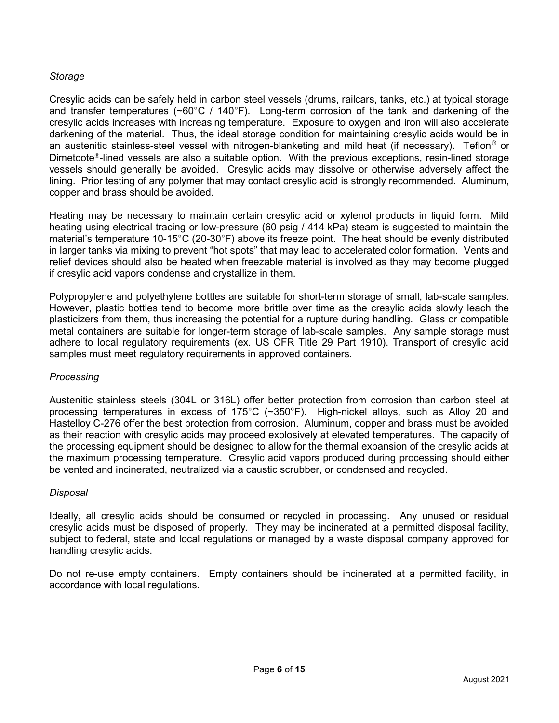#### **Storage**

Cresylic acids can be safely held in carbon steel vessels (drums, railcars, tanks, etc.) at typical storage and transfer temperatures (~60°C / 140°F). Long-term corrosion of the tank and darkening of the cresylic acids increases with increasing temperature. Exposure to oxygen and iron will also accelerate darkening of the material. Thus, the ideal storage condition for maintaining cresylic acids would be in an austenitic stainless-steel vessel with nitrogen-blanketing and mild heat (if necessary). Teflon® or Dimetcote<sup>®</sup>-lined vessels are also a suitable option. With the previous exceptions, resin-lined storage vessels should generally be avoided. Cresylic acids may dissolve or otherwise adversely affect the lining. Prior testing of any polymer that may contact cresylic acid is strongly recommended. Aluminum, copper and brass should be avoided.

Heating may be necessary to maintain certain cresylic acid or xylenol products in liquid form. Mild heating using electrical tracing or low-pressure (60 psig / 414 kPa) steam is suggested to maintain the material's temperature 10-15°C (20-30°F) above its freeze point. The heat should be evenly distributed in larger tanks via mixing to prevent "hot spots" that may lead to accelerated color formation. Vents and relief devices should also be heated when freezable material is involved as they may become plugged if cresylic acid vapors condense and crystallize in them.

Polypropylene and polyethylene bottles are suitable for short-term storage of small, lab-scale samples. However, plastic bottles tend to become more brittle over time as the cresylic acids slowly leach the plasticizers from them, thus increasing the potential for a rupture during handling. Glass or compatible metal containers are suitable for longer-term storage of lab-scale samples. Any sample storage must adhere to local regulatory requirements (ex. US CFR Title 29 Part 1910). Transport of cresylic acid samples must meet regulatory requirements in approved containers.

#### **Processing**

Austenitic stainless steels (304L or 316L) offer better protection from corrosion than carbon steel at processing temperatures in excess of 175°C (~350°F). High-nickel alloys, such as Alloy 20 and Hastelloy C-276 offer the best protection from corrosion. Aluminum, copper and brass must be avoided as their reaction with cresylic acids may proceed explosively at elevated temperatures. The capacity of the processing equipment should be designed to allow for the thermal expansion of the cresylic acids at the maximum processing temperature. Cresylic acid vapors produced during processing should either be vented and incinerated, neutralized via a caustic scrubber, or condensed and recycled.

#### **Disposal**

Ideally, all cresylic acids should be consumed or recycled in processing. Any unused or residual cresylic acids must be disposed of properly. They may be incinerated at a permitted disposal facility, subject to federal, state and local regulations or managed by a waste disposal company approved for handling cresylic acids.

Do not re-use empty containers. Empty containers should be incinerated at a permitted facility, in accordance with local regulations.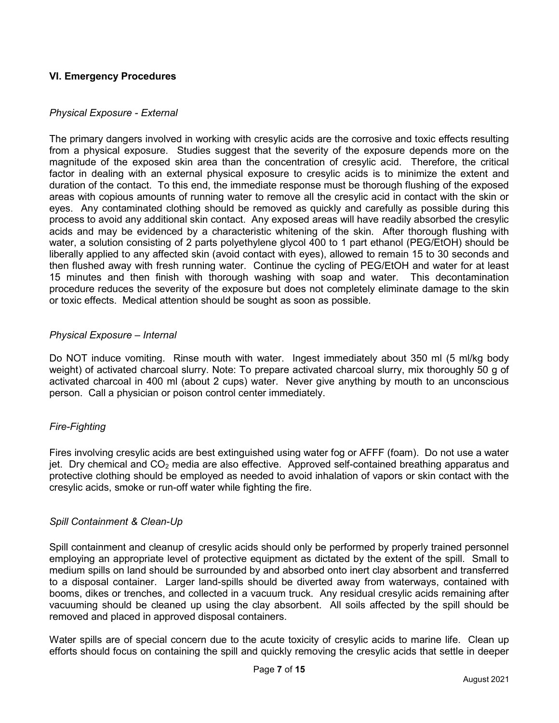#### VI. Emergency Procedures

#### Physical Exposure - External

The primary dangers involved in working with cresylic acids are the corrosive and toxic effects resulting from a physical exposure. Studies suggest that the severity of the exposure depends more on the magnitude of the exposed skin area than the concentration of cresylic acid. Therefore, the critical factor in dealing with an external physical exposure to cresylic acids is to minimize the extent and duration of the contact. To this end, the immediate response must be thorough flushing of the exposed areas with copious amounts of running water to remove all the cresylic acid in contact with the skin or eyes. Any contaminated clothing should be removed as quickly and carefully as possible during this process to avoid any additional skin contact. Any exposed areas will have readily absorbed the cresylic acids and may be evidenced by a characteristic whitening of the skin. After thorough flushing with water, a solution consisting of 2 parts polyethylene glycol 400 to 1 part ethanol (PEG/EtOH) should be liberally applied to any affected skin (avoid contact with eyes), allowed to remain 15 to 30 seconds and then flushed away with fresh running water. Continue the cycling of PEG/EtOH and water for at least 15 minutes and then finish with thorough washing with soap and water. This decontamination procedure reduces the severity of the exposure but does not completely eliminate damage to the skin or toxic effects. Medical attention should be sought as soon as possible.

#### Physical Exposure – Internal

Do NOT induce vomiting. Rinse mouth with water. Ingest immediately about 350 ml (5 ml/kg body weight) of activated charcoal slurry. Note: To prepare activated charcoal slurry, mix thoroughly 50 g of activated charcoal in 400 ml (about 2 cups) water. Never give anything by mouth to an unconscious person. Call a physician or poison control center immediately.

#### Fire-Fighting

Fires involving cresylic acids are best extinguished using water fog or AFFF (foam). Do not use a water jet. Dry chemical and  $CO<sub>2</sub>$  media are also effective. Approved self-contained breathing apparatus and protective clothing should be employed as needed to avoid inhalation of vapors or skin contact with the cresylic acids, smoke or run-off water while fighting the fire.

#### Spill Containment & Clean-Up

Spill containment and cleanup of cresylic acids should only be performed by properly trained personnel employing an appropriate level of protective equipment as dictated by the extent of the spill. Small to medium spills on land should be surrounded by and absorbed onto inert clay absorbent and transferred to a disposal container. Larger land-spills should be diverted away from waterways, contained with booms, dikes or trenches, and collected in a vacuum truck. Any residual cresylic acids remaining after vacuuming should be cleaned up using the clay absorbent. All soils affected by the spill should be removed and placed in approved disposal containers.

Water spills are of special concern due to the acute toxicity of cresylic acids to marine life. Clean up efforts should focus on containing the spill and quickly removing the cresylic acids that settle in deeper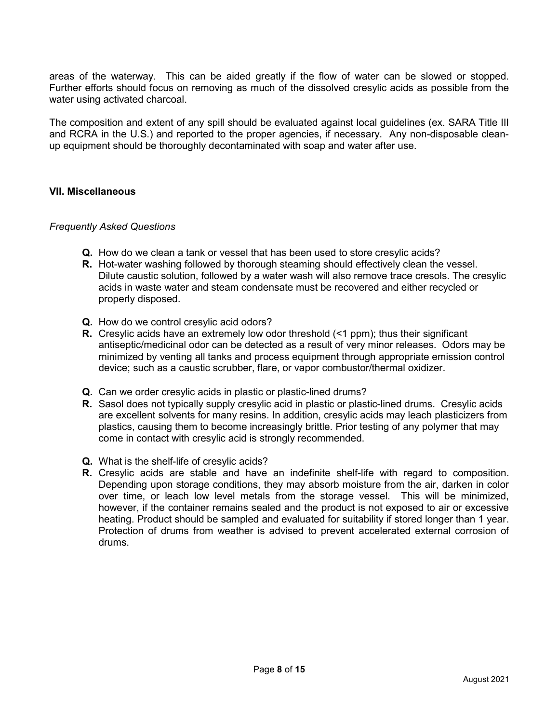areas of the waterway. This can be aided greatly if the flow of water can be slowed or stopped. Further efforts should focus on removing as much of the dissolved cresylic acids as possible from the water using activated charcoal.

The composition and extent of any spill should be evaluated against local guidelines (ex. SARA Title III and RCRA in the U.S.) and reported to the proper agencies, if necessary. Any non-disposable cleanup equipment should be thoroughly decontaminated with soap and water after use.

#### VII. Miscellaneous

#### Frequently Asked Questions

- Q. How do we clean a tank or vessel that has been used to store cresylic acids?
- **R.** Hot-water washing followed by thorough steaming should effectively clean the vessel. Dilute caustic solution, followed by a water wash will also remove trace cresols. The cresylic acids in waste water and steam condensate must be recovered and either recycled or properly disposed.
- Q. How do we control cresylic acid odors?
- **R.** Cresylic acids have an extremely low odor threshold  $($ <1 ppm); thus their significant antiseptic/medicinal odor can be detected as a result of very minor releases. Odors may be minimized by venting all tanks and process equipment through appropriate emission control device; such as a caustic scrubber, flare, or vapor combustor/thermal oxidizer.
- Q. Can we order cresylic acids in plastic or plastic-lined drums?
- **R.** Sasol does not typically supply cresylic acid in plastic or plastic-lined drums. Cresylic acids are excellent solvents for many resins. In addition, cresylic acids may leach plasticizers from plastics, causing them to become increasingly brittle. Prior testing of any polymer that may come in contact with cresylic acid is strongly recommended.
- Q. What is the shelf-life of cresylic acids?
- R. Cresylic acids are stable and have an indefinite shelf-life with regard to composition. Depending upon storage conditions, they may absorb moisture from the air, darken in color over time, or leach low level metals from the storage vessel. This will be minimized, however, if the container remains sealed and the product is not exposed to air or excessive heating. Product should be sampled and evaluated for suitability if stored longer than 1 year. Protection of drums from weather is advised to prevent accelerated external corrosion of drums.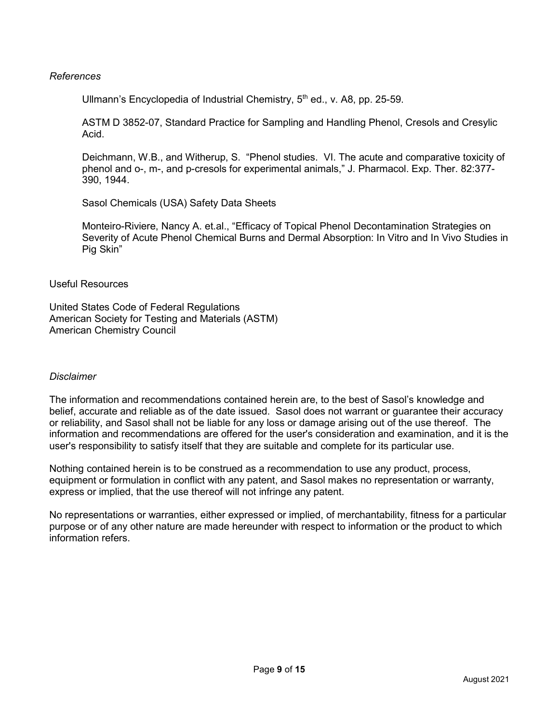#### References

Ullmann's Encyclopedia of Industrial Chemistry,  $5<sup>th</sup>$  ed., v. A8, pp. 25-59.

ASTM D 3852-07, Standard Practice for Sampling and Handling Phenol, Cresols and Cresylic Acid.

Deichmann, W.B., and Witherup, S. "Phenol studies. VI. The acute and comparative toxicity of phenol and o-, m-, and p-cresols for experimental animals," J. Pharmacol. Exp. Ther. 82:377- 390, 1944.

Sasol Chemicals (USA) Safety Data Sheets

Monteiro-Riviere, Nancy A. et.al., "Efficacy of Topical Phenol Decontamination Strategies on Severity of Acute Phenol Chemical Burns and Dermal Absorption: In Vitro and In Vivo Studies in Pig Skin"

Useful Resources

United States Code of Federal Regulations American Society for Testing and Materials (ASTM) American Chemistry Council

#### **Disclaimer**

The information and recommendations contained herein are, to the best of Sasol's knowledge and belief, accurate and reliable as of the date issued. Sasol does not warrant or guarantee their accuracy or reliability, and Sasol shall not be liable for any loss or damage arising out of the use thereof. The information and recommendations are offered for the user's consideration and examination, and it is the user's responsibility to satisfy itself that they are suitable and complete for its particular use.

Nothing contained herein is to be construed as a recommendation to use any product, process, equipment or formulation in conflict with any patent, and Sasol makes no representation or warranty, express or implied, that the use thereof will not infringe any patent.

No representations or warranties, either expressed or implied, of merchantability, fitness for a particular purpose or of any other nature are made hereunder with respect to information or the product to which information refers.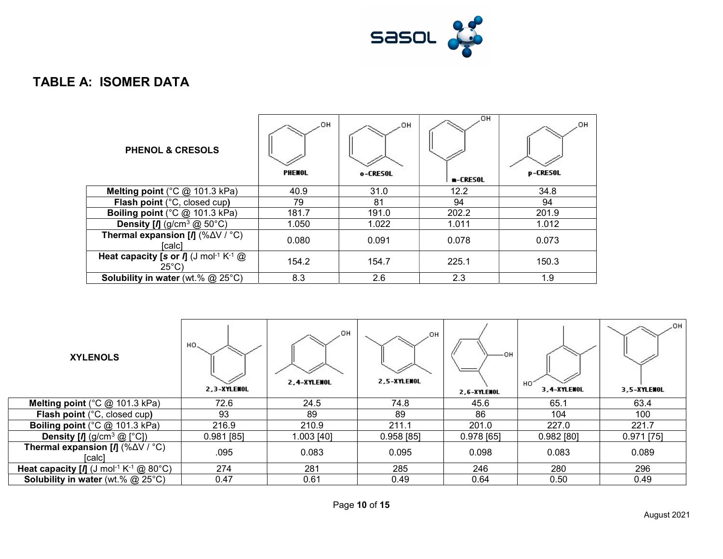

### TABLE A: ISOMER DATA

| <b>PHENOL &amp; CRESOLS</b>                                                                             | _OH<br>PHENOL | .OH<br>o-CRESOL | OH.<br>$-CRESOL$ | OН<br><b>p-CRESOL</b> |
|---------------------------------------------------------------------------------------------------------|---------------|-----------------|------------------|-----------------------|
| Melting point ( $^{\circ}$ C @ 101.3 kPa)                                                               | 40.9          | 31.0            | 12.2             | 34.8                  |
| Flash point (°C, closed cup)                                                                            | 79            | 81              | 94               | 94                    |
| Boiling point (°C @ 101.3 kPa)                                                                          | 181.7         | 191.0           | 202.2            | 201.9                 |
| <b>Density [/]</b> (g/cm <sup>3</sup> $@$ 50°C)                                                         | 1.050         | 1.022           | 1.011            | 1.012                 |
| <b>Thermal expansion [/] <math>(\% \Delta V / C)</math></b><br>[calc]                                   | 0.080         | 0.091           | 0.078            | 0.073                 |
| <b>Heat capacity [s or <math>\Pi</math></b> (J mol <sup>-1</sup> K <sup>-1</sup> $@$<br>$25^{\circ}$ C) | 154.2         | 154.7           | 225.1            | 150.3                 |
| <b>Solubility in water</b> (wt.% $@$ 25°C)                                                              | 8.3           | 2.6             | 2.3              | 1.9                   |

| <b>XYLENOLS</b>                                                              | HO.<br>2,3-XYLENOL | JOH.<br>2,4-XYLENOL | .OH<br>2,5-XYLENOL | -OH<br>2,6-XYLENOL | HO<br>3,4-XYLENOL | .OH<br>3,5-XYLENOL |
|------------------------------------------------------------------------------|--------------------|---------------------|--------------------|--------------------|-------------------|--------------------|
| Melting point ( $^{\circ}$ C @ 101.3 kPa)                                    | 72.6               | 24.5                | 74.8               | 45.6               | 65.1              | 63.4               |
| Flash point (°C, closed cup)                                                 | 93                 | 89                  | 89                 | 86                 | 104               | 100                |
| Boiling point (°C @ 101.3 kPa)                                               | 216.9              | 210.9               | 211.1              | 201.0              | 227.0             | 221.7              |
| <b>Density [<i>I</i>]</b> (g/cm <sup>3</sup> $@$ [°C])                       | $0.981$ [85]       | 1.003 [40]          | $0.958$ [85]       | $0.978$ [65]       | $0.982$ [80]      | $0.971$ [75]       |
| <b>Thermal expansion [/] <math>(\% \Delta V / C)</math></b><br>[calc]        | .095               | 0.083               | 0.095              | 0.098              | 0.083             | 0.089              |
| <b>Heat capacity [<i>I</i>]</b> (J mol <sup>-1</sup> K <sup>-1</sup> @ 80°C) | 274                | 281                 | 285                | 246                | 280               | 296                |
| <b>Solubility in water</b> (wt.% $@$ 25°C)                                   | 0.47               | 0.61                | 0.49               | 0.64               | 0.50              | 0.49               |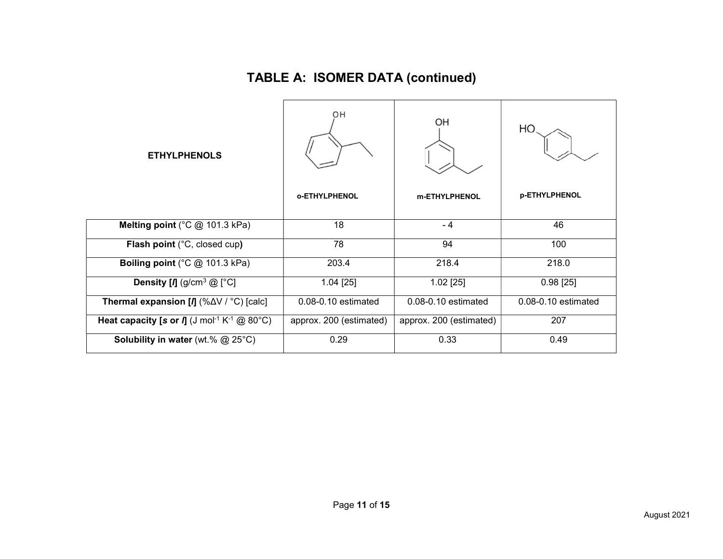# TABLE A: ISOMER DATA (continued)

| <b>ETHYLPHENOLS</b>                                                                      | OH<br><b>o-ETHYLPHENOL</b> | OH<br>m-ETHYLPHENOL     | HO.<br><b>p-ETHYLPHENOL</b> |
|------------------------------------------------------------------------------------------|----------------------------|-------------------------|-----------------------------|
| Melting point ( $^{\circ}$ C @ 101.3 kPa)                                                | 18                         | $-4$                    | 46                          |
| Flash point (°C, closed cup)                                                             | 78                         | 94                      | 100                         |
| <b>Boiling point</b> ( $^{\circ}$ C @ 101.3 kPa)                                         | 203.4                      | 218.4                   | 218.0                       |
| <b>Density [<i>I</i>]</b> (g/cm <sup>3</sup> $@$ [ $^{\circ}$ C]                         | $1.04$ [25]                | $1.02$ [25]             | $0.98$ [25]                 |
| <b>Thermal expansion [/]</b> (% $\Delta$ V / °C) [calc]                                  | 0.08-0.10 estimated        | 0.08-0.10 estimated     | 0.08-0.10 estimated         |
| <b>Heat capacity [s or <math>\Pi</math></b> (J mol <sup>-1</sup> K <sup>-1</sup> @ 80°C) | approx. 200 (estimated)    | approx. 200 (estimated) | 207                         |
| <b>Solubility in water</b> (wt.% $@$ 25°C)                                               | 0.29                       | 0.33                    | 0.49                        |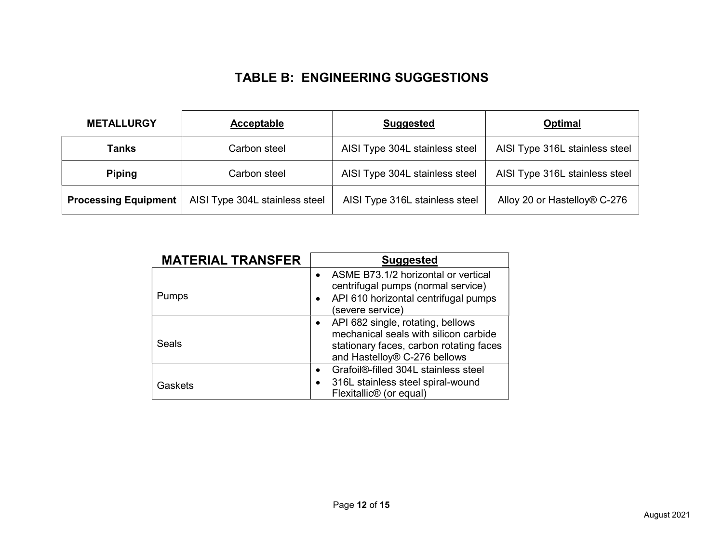### TABLE B: ENGINEERING SUGGESTIONS

| <b>METALLURGY</b>           | Acceptable                     | <b>Suggested</b>               | <b>Optimal</b>                 |
|-----------------------------|--------------------------------|--------------------------------|--------------------------------|
| Tanks                       | Carbon steel                   | AISI Type 304L stainless steel | AISI Type 316L stainless steel |
| <b>Piping</b>               | Carbon steel                   | AISI Type 304L stainless steel | AISI Type 316L stainless steel |
| <b>Processing Equipment</b> | AISI Type 304L stainless steel | AISI Type 316L stainless steel | Alloy 20 or Hastelloy® C-276   |

| <b>MATERIAL TRANSFER</b> | <b>Suggested</b>                                                                                                                                      |
|--------------------------|-------------------------------------------------------------------------------------------------------------------------------------------------------|
| <b>Pumps</b>             | ASME B73.1/2 horizontal or vertical<br>centrifugal pumps (normal service)<br>• API 610 horizontal centrifugal pumps<br>(severe service)               |
| Seals                    | API 682 single, rotating, bellows<br>mechanical seals with silicon carbide<br>stationary faces, carbon rotating faces<br>and Hastelloy® C-276 bellows |
| Gaskets                  | Grafoil <sup>®</sup> -filled 304L stainless steel<br>316L stainless steel spiral-wound<br>Flexitallic <sup>®</sup> (or equal)                         |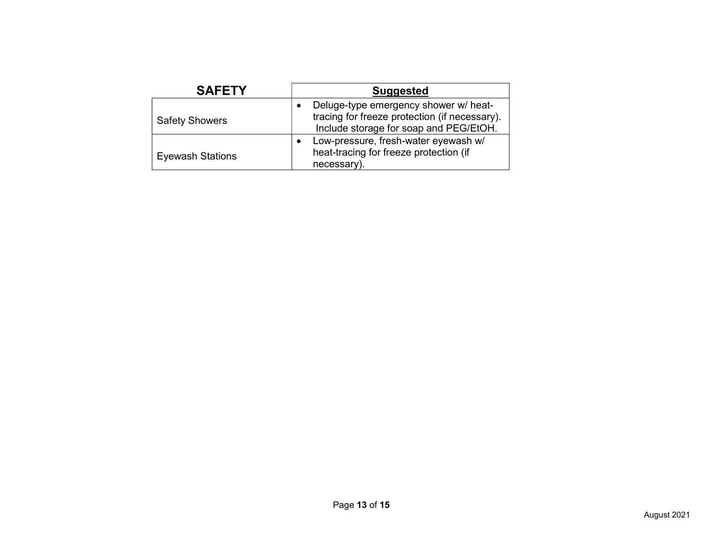| <b>SAFETY</b>           | <b>Suggested</b>                                                                                                                 |  |  |
|-------------------------|----------------------------------------------------------------------------------------------------------------------------------|--|--|
| <b>Safety Showers</b>   | Deluge-type emergency shower w/ heat-<br>tracing for freeze protection (if necessary).<br>Include storage for soap and PEG/EtOH. |  |  |
| <b>Eyewash Stations</b> | Low-pressure, fresh-water eyewash w/<br>٠<br>heat-tracing for freeze protection (if<br>necessary).                               |  |  |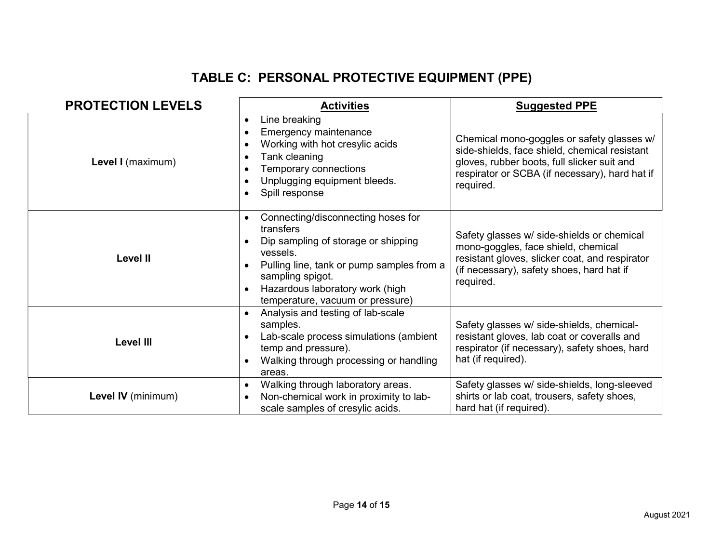# TABLE C: PERSONAL PROTECTIVE EQUIPMENT (PPE)

| <b>PROTECTION LEVELS</b> | <b>Activities</b>                                                                                                                                                                                                                                                                 | <b>Suggested PPE</b>                                                                                                                                                                                      |
|--------------------------|-----------------------------------------------------------------------------------------------------------------------------------------------------------------------------------------------------------------------------------------------------------------------------------|-----------------------------------------------------------------------------------------------------------------------------------------------------------------------------------------------------------|
| Level I (maximum)        | Line breaking<br>$\bullet$<br>Emergency maintenance<br>$\bullet$<br>Working with hot cresylic acids<br>$\bullet$<br>Tank cleaning<br>$\bullet$<br>Temporary connections<br>Unplugging equipment bleeds.<br>Spill response                                                         | Chemical mono-goggles or safety glasses w/<br>side-shields, face shield, chemical resistant<br>gloves, rubber boots, full slicker suit and<br>respirator or SCBA (if necessary), hard hat if<br>required. |
| <b>Level II</b>          | Connecting/disconnecting hoses for<br>$\bullet$<br>transfers<br>Dip sampling of storage or shipping<br>vessels.<br>Pulling line, tank or pump samples from a<br>$\bullet$<br>sampling spigot.<br>Hazardous laboratory work (high<br>$\bullet$<br>temperature, vacuum or pressure) | Safety glasses w/ side-shields or chemical<br>mono-goggles, face shield, chemical<br>resistant gloves, slicker coat, and respirator<br>(if necessary), safety shoes, hard hat if<br>required.             |
| <b>Level III</b>         | Analysis and testing of lab-scale<br>samples.<br>Lab-scale process simulations (ambient<br>$\bullet$<br>temp and pressure).<br>Walking through processing or handling<br>$\bullet$<br>areas.                                                                                      | Safety glasses w/ side-shields, chemical-<br>resistant gloves, lab coat or coveralls and<br>respirator (if necessary), safety shoes, hard<br>hat (if required).                                           |
| Level IV (minimum)       | Walking through laboratory areas.<br>$\bullet$<br>Non-chemical work in proximity to lab-<br>scale samples of cresylic acids.                                                                                                                                                      | Safety glasses w/ side-shields, long-sleeved<br>shirts or lab coat, trousers, safety shoes,<br>hard hat (if required).                                                                                    |